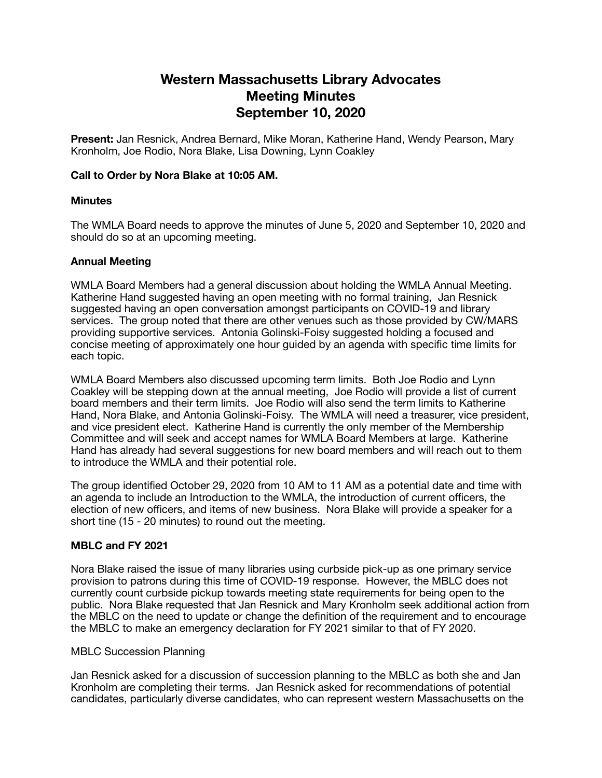# **Western Massachusetts Library Advocates Meeting Minutes September 10, 2020**

**Present:** Jan Resnick, Andrea Bernard, Mike Moran, Katherine Hand, Wendy Pearson, Mary Kronholm, Joe Rodio, Nora Blake, Lisa Downing, Lynn Coakley

### **Call to Order by Nora Blake at 10:05 AM.**

#### **Minutes**

The WMLA Board needs to approve the minutes of June 5, 2020 and September 10, 2020 and should do so at an upcoming meeting.

#### **Annual Meeting**

WMLA Board Members had a general discussion about holding the WMLA Annual Meeting. Katherine Hand suggested having an open meeting with no formal training, Jan Resnick suggested having an open conversation amongst participants on COVID-19 and library services. The group noted that there are other venues such as those provided by CW/MARS providing supportive services. Antonia Golinski-Foisy suggested holding a focused and concise meeting of approximately one hour guided by an agenda with specific time limits for each topic.

WMLA Board Members also discussed upcoming term limits. Both Joe Rodio and Lynn Coakley will be stepping down at the annual meeting, Joe Rodio will provide a list of current board members and their term limits. Joe Rodio will also send the term limits to Katherine Hand, Nora Blake, and Antonia Golinski-Foisy. The WMLA will need a treasurer, vice president, and vice president elect. Katherine Hand is currently the only member of the Membership Committee and will seek and accept names for WMLA Board Members at large. Katherine Hand has already had several suggestions for new board members and will reach out to them to introduce the WMLA and their potential role.

The group identified October 29, 2020 from 10 AM to 11 AM as a potential date and time with an agenda to include an Introduction to the WMLA, the introduction of current officers, the election of new officers, and items of new business. Nora Blake will provide a speaker for a short tine (15 - 20 minutes) to round out the meeting.

## **MBLC and FY 2021**

Nora Blake raised the issue of many libraries using curbside pick-up as one primary service provision to patrons during this time of COVID-19 response. However, the MBLC does not currently count curbside pickup towards meeting state requirements for being open to the public. Nora Blake requested that Jan Resnick and Mary Kronholm seek additional action from the MBLC on the need to update or change the definition of the requirement and to encourage the MBLC to make an emergency declaration for FY 2021 similar to that of FY 2020.

#### MBLC Succession Planning

Jan Resnick asked for a discussion of succession planning to the MBLC as both she and Jan Kronholm are completing their terms. Jan Resnick asked for recommendations of potential candidates, particularly diverse candidates, who can represent western Massachusetts on the